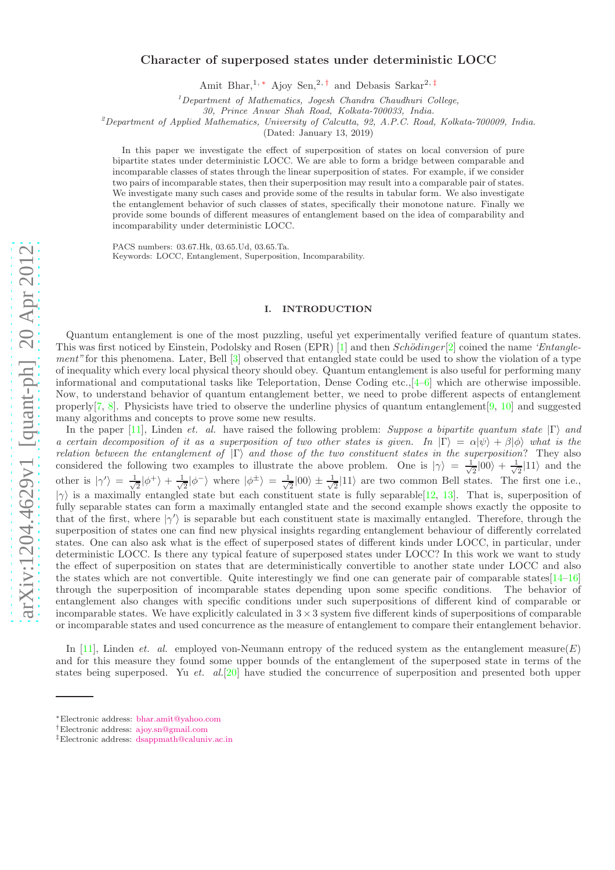## Character of superposed states under deterministic LOCC

Amit Bhar,<sup>1, [∗](#page-0-0)</sup> Ajoy Sen,<sup>2,[†](#page-0-1)</sup> and Debasis Sarkar<sup>2,[‡](#page-0-2)</sup>

<sup>1</sup>*Department of Mathematics, Jogesh Chandra Chaudhuri College,*

*30, Prince Anwar Shah Road, Kolkata-700033, India.*

<sup>2</sup>*Department of Applied Mathematics, University of Calcutta, 92, A.P.C. Road, Kolkata-700009, India.*

(Dated: January 13, 2019)

In this paper we investigate the effect of superposition of states on local conversion of pure bipartite states under deterministic LOCC. We are able to form a bridge between comparable and incomparable classes of states through the linear superposition of states. For example, if we consider two pairs of incomparable states, then their superposition may result into a comparable pair of states. We investigate many such cases and provide some of the results in tabular form. We also investigate the entanglement behavior of such classes of states, specifically their monotone nature. Finally we provide some bounds of different measures of entanglement based on the idea of comparability and incomparability under deterministic LOCC.

PACS numbers: 03.67.Hk, 03.65.Ud, 03.65.Ta. Keywords: LOCC, Entanglement, Superposition, Incomparability.

#### I. INTRODUCTION

Quantum entanglement is one of the most puzzling, useful yet experimentally verified feature of quantum states. This was first noticed by Einstein, Podolsky and Rosen (EPR) [\[1](#page-7-0)] and then  $Schödinger[2]$  $Schödinger[2]$  coined the name 'Entangle-ment" for this phenomena. Later, Bell [\[3](#page-8-0)] observed that entangled state could be used to show the violation of a type of inequality which every local physical theory should obey. Quantum entanglement is also useful for performing many informational and computational tasks like Teleportation, Dense Coding etc.,[\[4–](#page-8-1)[6\]](#page-8-2) which are otherwise impossible. Now, to understand behavior of quantum entanglement better, we need to probe different aspects of entanglement properly[\[7,](#page-8-3) [8\]](#page-8-4). Physicists have tried to observe the underline physics of quantum entanglement[\[9](#page-8-5), [10\]](#page-8-6) and suggested many algorithms and concepts to prove some new results.

In the paper [\[11\]](#page-8-7), Linden et. al. have raised the following problem: Suppose a bipartite quantum state  $|\Gamma\rangle$  and a certain decomposition of it as a superposition of two other states is given. In  $|\Gamma\rangle = \alpha |\psi\rangle + \beta |\phi\rangle$  what is the relation between the entanglement of  $|\Gamma\rangle$  and those of the two constituent states in the superposition? They also considered the following two examples to illustrate the above problem. One is  $|\gamma\rangle = \frac{1}{\sqrt{\pi}}$  $\frac{1}{2}|00\rangle + \frac{1}{\sqrt{2}}$  $\frac{1}{2}$ |11\, and the other is  $|\gamma'\rangle = \frac{1}{\sqrt{2}}$  $\frac{1}{2}|\phi^+\rangle + \frac{1}{\sqrt{2}}$  $\frac{1}{2}|\phi^-\rangle$  where  $|\phi^{\pm}\rangle = \frac{1}{\sqrt{2}}$  $\frac{1}{2}|00\rangle \pm \frac{1}{\sqrt{2}}$  $\frac{1}{2}$ |11) are two common Bell states. The first one i.e.,  $|\gamma\rangle$  is a maximally entangled state but each constituent state is fully separable  $[12, 13]$  $[12, 13]$  $[12, 13]$  $[12, 13]$ . That is, superposition of fully separable states can form a maximally entangled state and the second example shows exactly the opposite to that of the first, where  $|\gamma'\rangle$  is separable but each constituent state is maximally entangled. Therefore, through the superposition of states one can find new physical insights regarding entanglement behaviour of differently correlated states. One can also ask what is the effect of superposed states of different kinds under LOCC, in particular, under deterministic LOCC. Is there any typical feature of superposed states under LOCC? In this work we want to study the effect of superposition on states that are deterministically convertible to another state under LOCC and also the states which are not convertible. Quite interestingly we find one can generate pair of comparable states $[14-16]$  $[14-16]$ through the superposition of incomparable states depending upon some specific conditions. The behavior of entanglement also changes with specific conditions under such superpositions of different kind of comparable or incomparable states. We have explicitly calculated in  $3 \times 3$  system five different kinds of superpositions of comparable or incomparable states and used concurrence as the measure of entanglement to compare their entanglement behavior.

In [\[11](#page-8-7)], Linden *et. al.* employed von-Neumann entropy of the reduced system as the entanglement measure(E) and for this measure they found some upper bounds of the entanglement of the superposed state in terms of the states being superposed. Yu et. al.<sup>[\[20](#page-8-12)]</sup> have studied the concurrence of superposition and presented both upper

<span id="page-0-0"></span><sup>∗</sup>Electronic address: [bhar.amit@yahoo.com](mailto:bhar.amit@yahoo.com)

<span id="page-0-1"></span><sup>†</sup>Electronic address: [ajoy.sn@gmail.com](mailto:ajoy.sn@gmail.com)

<span id="page-0-2"></span><sup>‡</sup>Electronic address: [dsappmath@caluniv.ac.in](mailto:dsappmath@caluniv.ac.in)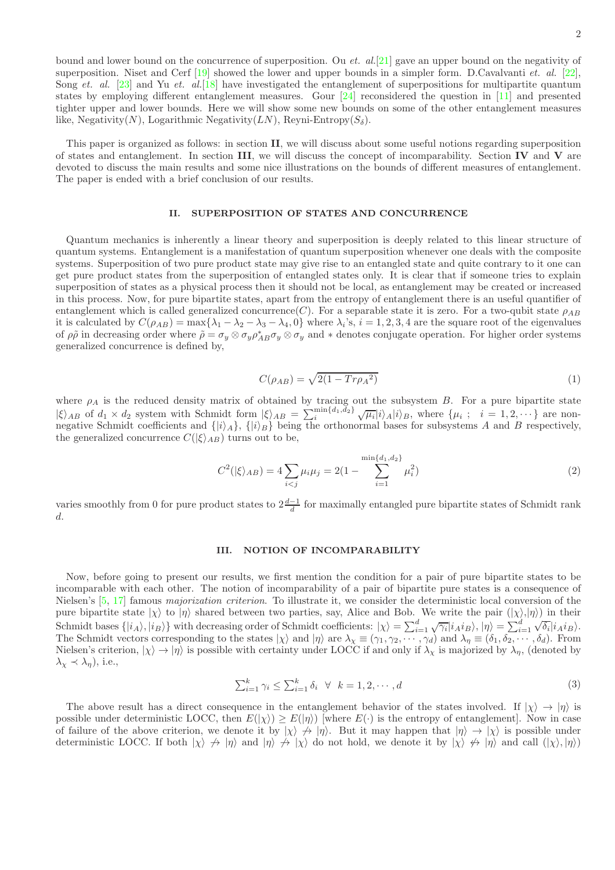bound and lower bound on the concurrence of superposition. Ou et.  $al.[21]$  $al.[21]$  gave an upper bound on the negativity of superposition. Niset and Cerf  $[19]$  showed the lower and upper bounds in a simpler form. D.Cavalvanti *et. al.*  $[22]$ , Song et. al. [\[23](#page-8-16)] and Yu et. al. [\[18](#page-8-17)] have investigated the entanglement of superpositions for multipartite quantum states by employing different entanglement measures. Gour [\[24\]](#page-8-18) reconsidered the question in [\[11\]](#page-8-7) and presented tighter upper and lower bounds. Here we will show some new bounds on some of the other entanglement measures like, Negativity $(N)$ , Logarithmic Negativity $(LN)$ , Reyni-Entropy $(S_{\delta})$ .

This paper is organized as follows: in section II, we will discuss about some useful notions regarding superposition of states and entanglement. In section III, we will discuss the concept of incomparability. Section IV and V are devoted to discuss the main results and some nice illustrations on the bounds of different measures of entanglement. The paper is ended with a brief conclusion of our results.

#### II. SUPERPOSITION OF STATES AND CONCURRENCE

Quantum mechanics is inherently a linear theory and superposition is deeply related to this linear structure of quantum systems. Entanglement is a manifestation of quantum superposition whenever one deals with the composite systems. Superposition of two pure product state may give rise to an entangled state and quite contrary to it one can get pure product states from the superposition of entangled states only. It is clear that if someone tries to explain superposition of states as a physical process then it should not be local, as entanglement may be created or increased in this process. Now, for pure bipartite states, apart from the entropy of entanglement there is an useful quantifier of entanglement which is called generalized concurrence(C). For a separable state it is zero. For a two-qubit state  $\rho_{AB}$ it is calculated by  $C(\rho_{AB}) = \max\{\lambda_1 - \lambda_2 - \lambda_3 - \lambda_4, 0\}$  where  $\lambda_i$ 's,  $i = 1, 2, 3, 4$  are the square root of the eigenvalues of  $\rho\tilde{\rho}$  in decreasing order where  $\tilde{\rho} = \sigma_y \otimes \sigma_y \rho_{AB}^* \sigma_y \otimes \sigma_y$  and  $*$  denotes conjugate operation. For higher order systems generalized concurrence is defined by,

$$
C(\rho_{AB}) = \sqrt{2(1 - Tr \rho_A^2)}\tag{1}
$$

where  $\rho_A$  is the reduced density matrix of obtained by tracing out the subsystem B. For a pure bipartite state  $|\xi\rangle_{AB}$  of  $d_1 \times d_2$  system with Schmidt form  $|\xi\rangle_{AB} = \sum_i^{\min\{d_1,d_2\}} \sqrt{\mu_i} |i\rangle_A |i\rangle_B$ , where  $\{\mu_i ; i = 1, 2, \cdots\}$  are nonnegative Schmidt coefficients and  $\{|i\rangle_A\}$ ,  $\{|i\rangle_B\}$  being the orthonormal bases for subsystems A and B respectively, the generalized concurrence  $C(|\xi\rangle_{AB})$  turns out to be,

$$
C^{2}(|\xi\rangle_{AB}) = 4 \sum_{i < j} \mu_{i}\mu_{j} = 2(1 - \sum_{i=1}^{\min\{d_{1}, d_{2}\}} \mu_{i}^{2})\tag{2}
$$

varies smoothly from 0 for pure product states to  $2\frac{d-1}{d}$  for maximally entangled pure bipartite states of Schmidt rank d.

#### III. NOTION OF INCOMPARABILITY

Now, before going to present our results, we first mention the condition for a pair of pure bipartite states to be incomparable with each other. The notion of incomparability of a pair of bipartite pure states is a consequence of Nielsen's [\[5](#page-8-19), [17\]](#page-8-20) famous majorization criterion. To illustrate it, we consider the deterministic local conversion of the pure bipartite state  $|\chi\rangle$  to  $|\eta\rangle$  shared between two parties, say, Alice and Bob. We write the pair  $(|\chi\rangle, |\eta\rangle)$  in their Schmidt bases  $\{|i_A\rangle, |i_B\rangle\}$  with decreasing order of Schmidt coefficients:  $|\chi\rangle = \sum_{i=1}^d \sqrt{\gamma_i} |i_A i_B\rangle, |\eta\rangle = \sum_{i=1}^d \sqrt{\delta_i} |i_A i_B\rangle$ . The Schmidt vectors corresponding to the states  $|\chi\rangle$  and  $|\eta\rangle$  are  $\lambda_{\chi} \equiv (\gamma_1, \gamma_2, \cdots, \gamma_d)$  and  $\lambda_{\eta} \equiv (\delta_1, \delta_2, \cdots, \delta_d)$ . From Nielsen's criterion,  $|\chi\rangle \to |\eta\rangle$  is possible with certainty under LOCC if and only if  $\lambda_{\chi}$  is majorized by  $\lambda_{\eta}$ , (denoted by  $\lambda_{\chi} \prec \lambda_{\eta}$ ), i.e.,

$$
\sum_{i=1}^{k} \gamma_i \le \sum_{i=1}^{k} \delta_i \quad \forall \quad k = 1, 2, \cdots, d
$$
\n
$$
(3)
$$

The above result has a direct consequence in the entanglement behavior of the states involved. If  $|\chi\rangle \to |\eta\rangle$  is possible under deterministic LOCC, then  $E(|\chi\rangle) \geq E(|\eta\rangle)$  [where  $E(\cdot)$  is the entropy of entanglement]. Now in case of failure of the above criterion, we denote it by  $|\chi\rangle \nrightarrow |\eta\rangle$ . But it may happen that  $|\eta\rangle \rightarrow |\chi\rangle$  is possible under deterministic LOCC. If both  $|\chi\rangle \nrightarrow |\eta\rangle$  and  $|\eta\rangle \nrightarrow |\chi\rangle$  do not hold, we denote it by  $|\chi\rangle \nrightarrow |\eta\rangle$  and call  $(|\chi\rangle, |\eta\rangle)$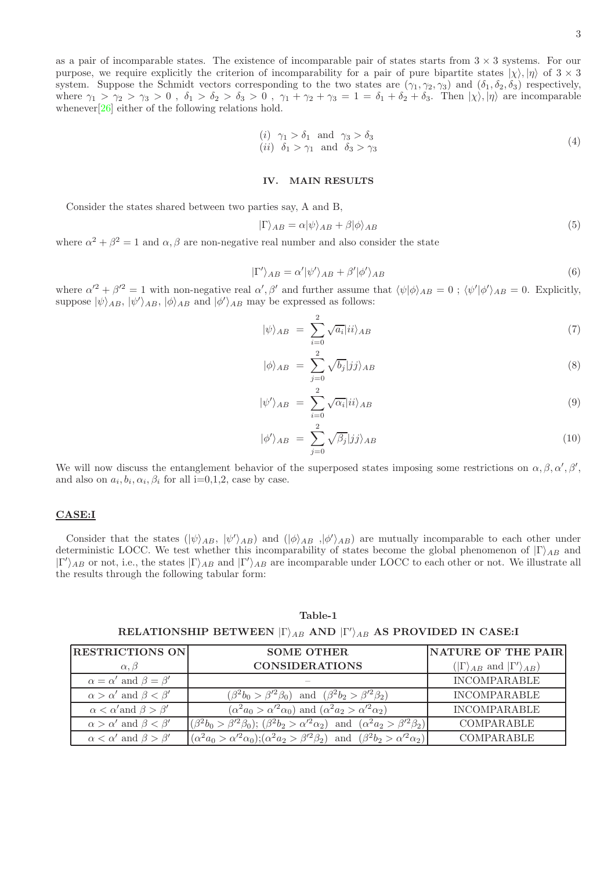as a pair of incomparable states. The existence of incomparable pair of states starts from  $3 \times 3$  systems. For our purpose, we require explicitly the criterion of incomparability for a pair of pure bipartite states  $|\chi\rangle, |\eta\rangle$  of  $3 \times 3$ system. Suppose the Schmidt vectors corresponding to the two states are  $(\gamma_1, \gamma_2, \gamma_3)$  and  $(\delta_1, \delta_2, \delta_3)$  respectively, where  $\gamma_1 > \gamma_2 > \gamma_3 > 0$ ,  $\delta_1 > \delta_2 > \delta_3 > 0$ ,  $\gamma_1 + \gamma_2 + \gamma_3 = 1 = \delta_1 + \delta_2 + \delta_3$ . Then  $|\chi\rangle, |\eta\rangle$  are incomparable whenever $[26]$  $[26]$  either of the following relations hold.

$$
\begin{array}{ll}\n(i) & \gamma_1 > \delta_1 \quad \text{and} \quad \gamma_3 > \delta_3 \\
(ii) & \delta_1 > \gamma_1 \quad \text{and} \quad \delta_3 > \gamma_3\n\end{array}\n\tag{4}
$$

#### IV. MAIN RESULTS

Consider the states shared between two parties say, A and B,

$$
|\Gamma\rangle_{AB} = \alpha |\psi\rangle_{AB} + \beta |\phi\rangle_{AB} \tag{5}
$$

where  $\alpha^2 + \beta^2 = 1$  and  $\alpha, \beta$  are non-negative real number and also consider the state

$$
|\Gamma'\rangle_{AB} = \alpha' |\psi'\rangle_{AB} + \beta' |\phi'\rangle_{AB} \tag{6}
$$

where  $\alpha'^2 + \beta'^2 = 1$  with non-negative real  $\alpha', \beta'$  and further assume that  $\langle \psi | \phi \rangle_{AB} = 0$ ;  $\langle \psi' | \phi' \rangle_{AB} = 0$ . Explicitly, suppose  $|\psi\rangle_{AB}$ ,  $|\psi'\rangle_{AB}$ ,  $|\phi\rangle_{AB}$  and  $|\phi'\rangle_{AB}$  may be expressed as follows:

$$
|\psi\rangle_{AB} = \sum_{i=0}^{2} \sqrt{a_i} |ii\rangle_{AB} \tag{7}
$$

$$
|\phi\rangle_{AB} = \sum_{j=0}^{2} \sqrt{b_j} |jj\rangle_{AB} \tag{8}
$$

$$
|\psi'\rangle_{AB} = \sum_{i=0}^{2} \sqrt{\alpha_i} |ii\rangle_{AB} \tag{9}
$$

$$
|\phi'\rangle_{AB} = \sum_{j=0}^{2} \sqrt{\beta_j} |jj\rangle_{AB} \tag{10}
$$

INCOMPARABLE

COMPARABLE

 $(\alpha^2 a_2 > \beta'^2 \beta_2)$  COMPARABLE

 $(\beta^2 b_2 > \alpha'^2 \alpha_2)$ 

We will now discuss the entanglement behavior of the superposed states imposing some restrictions on  $\alpha, \beta, \alpha', \beta'$ , and also on  $a_i, b_i, \alpha_i, \beta_i$  for all i=0,1,2, case by case.

### CASE:I

 $\alpha < \alpha'$  and  $\beta > \beta'$ 

 $\alpha > \alpha'$  and  $\beta < \beta'$ 

 $\alpha < \alpha'$  and  $\beta > \beta'$ 

Consider that the states  $(|\psi\rangle_{AB}, |\psi'\rangle_{AB})$  and  $(|\phi\rangle_{AB}, |\phi'\rangle_{AB})$  are mutually incomparable to each other under deterministic LOCC. We test whether this incomparability of states become the global phenomenon of  $|\Gamma\rangle_{AB}$  and  $|\Gamma'\rangle_{AB}$  or not, i.e., the states  $|\Gamma\rangle_{AB}$  and  $|\Gamma'\rangle_{AB}$  are incomparable under LOCC to each other or not. We illustrate all the results through the following tabular form:

RESTRICTIONS ON SOME OTHER NATURE OF THE PAIR  $\alpha, \beta$  | CONSIDERATIONS  $'\rangle_{AB})$  $\alpha = \alpha'$  and  $\beta = \beta$ ′ – INCOMPARABLE  $\alpha > \alpha'$  and  $\beta < \beta'$  $(\beta^2 b_0 > \beta'^2 \beta_0)$  and  $(\beta$ and  $(\beta^2 b_2 > \beta'^2 \beta_2)$ INCOMPARABLE

 $(\alpha^2 a_0 > \alpha'^2 \alpha_0)$  and  $(\alpha$ 

 $(\beta^2 b_0 > \beta'^2 \beta_0); (\beta^2 b_2 > \alpha'^2 \alpha_2)$  and  $(\alpha$ 

 $(\alpha^2 a_0 > \alpha'^2 \alpha_0); (\alpha^2 a_2 > \beta'^2 \beta_2)$  and  $(\beta$ 

Table-1

# RELATIONSHIP BETWEEN  $|\Gamma\rangle_{AB}$  and  $|\Gamma'\rangle_{AB}$  as provided in case:I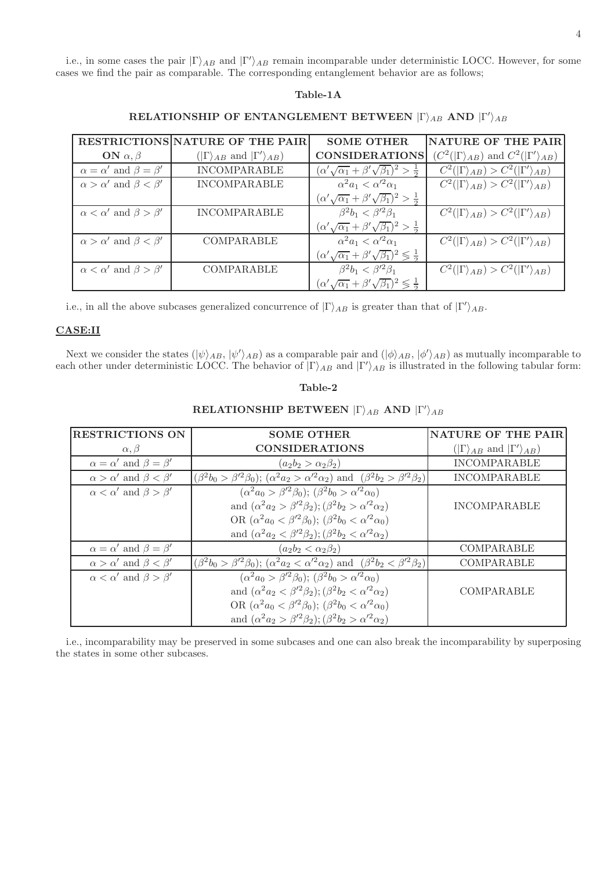i.e., in some cases the pair  $|\Gamma\rangle_{AB}$  and  $|\Gamma'\rangle_{AB}$  remain incomparable under deterministic LOCC. However, for some cases we find the pair as comparable. The corresponding entanglement behavior are as follows;

## Table-1A

|                                         | <b>RESTRICTIONS NATURE OF THE PAIR</b>             | <b>SOME OTHER</b>                                                     | NATURE OF THE PAIR                                          |
|-----------------------------------------|----------------------------------------------------|-----------------------------------------------------------------------|-------------------------------------------------------------|
| ON $\alpha, \beta$                      | $( \Gamma\rangle_{AB}$ and $ \Gamma'\rangle_{AB})$ | <b>CONSIDERATIONS</b>                                                 | $(C^2( \Gamma\rangle_{AB})$ and $C^2( \Gamma'\rangle_{AB})$ |
| $\alpha = \alpha'$ and $\beta = \beta'$ | <b>INCOMPARABLE</b>                                | $(\alpha'\sqrt{\alpha_1}+\beta'\sqrt{\beta_1})^2>\frac{1}{2}$         | $C^2( \Gamma\rangle_{AB}) > C^2( \Gamma'\rangle_{AB})$      |
| $\alpha > \alpha'$ and $\beta < \beta'$ | <b>INCOMPARABLE</b>                                | $\alpha^2 a_1 < \alpha'^2 \alpha_1$                                   | $C^2( \Gamma\rangle_{AB}) > C^2( \Gamma'\rangle_{AB})$      |
|                                         |                                                    | $(\alpha'\sqrt{\alpha_1}+\beta'\sqrt{\beta_1})^2>\frac{1}{2}$         |                                                             |
| $\alpha < \alpha'$ and $\beta > \beta'$ | <b>INCOMPARABLE</b>                                | $\beta^2 b_1 < \beta'^2 \beta_1$                                      | $C^2( \Gamma\rangle_{AB}) > C^2( \Gamma'\rangle_{AB})$      |
|                                         |                                                    | $(\alpha'\sqrt{\alpha_1}+\beta'\sqrt{\beta_1})^2>\frac{1}{2}$         |                                                             |
| $\alpha > \alpha'$ and $\beta < \beta'$ | COMPARABLE                                         | $\alpha^2 a_1 < \alpha'^2 \alpha_1$                                   | $C^2( \Gamma\rangle_{AB}) > C^2( \Gamma'\rangle_{AB})$      |
|                                         |                                                    | $(\alpha'\sqrt{\alpha_1}+\beta'\sqrt{\beta_1})^2\lessgtr \frac{1}{2}$ |                                                             |
| $\alpha < \alpha'$ and $\beta > \beta'$ | COMPARABLE                                         | $\beta^2 b_1 < \beta'^2 \beta_1$                                      | $C^2( \Gamma\rangle_{AB}) > C^2( \Gamma'\rangle_{AB})$      |
|                                         |                                                    | $(\alpha'\sqrt{\alpha_1}+\beta'\sqrt{\beta_1})^2\leqslant\frac{1}{2}$ |                                                             |

# RELATIONSHIP OF ENTANGLEMENT BETWEEN  $|\Gamma\rangle_{AB}$  and  $|\Gamma'\rangle_{AB}$

i.e., in all the above subcases generalized concurrence of  $|\Gamma\rangle_{AB}$  is greater than that of  $|\Gamma'\rangle_{AB}$ .

### CASE:II

Next we consider the states  $(|\psi\rangle_{AB}, |\psi'\rangle_{AB})$  as a comparable pair and  $(|\phi\rangle_{AB}, |\phi'\rangle_{AB})$  as mutually incomparable to each other under deterministic LOCC. The behavior of  $|\Gamma\rangle_{AB}$  and  $|\Gamma'\rangle_{AB}$  is illustrated in the following tabular form:

## Table-2

| <b>RESTRICTIONS ON</b>                  | <b>SOME OTHER</b>                                                                                              | <b>NATURE OF THE PAIR</b>                          |
|-----------------------------------------|----------------------------------------------------------------------------------------------------------------|----------------------------------------------------|
| $\alpha, \beta$                         | <b>CONSIDERATIONS</b>                                                                                          | $( \Gamma\rangle_{AB}$ and $ \Gamma'\rangle_{AB})$ |
| $\alpha = \alpha'$ and $\beta = \beta'$ | $(a_2b_2 > \alpha_2\beta_2)$                                                                                   | <b>INCOMPARABLE</b>                                |
| $\alpha > \alpha'$ and $\beta < \beta'$ | $(\beta^2 b_0 > \beta'^2 \beta_0); (\alpha^2 a_2 > \alpha'^2 \alpha_2)$ and $(\beta^2 b_2 > \beta'^2 \beta_2)$ | <b>INCOMPARABLE</b>                                |
| $\alpha < \alpha'$ and $\beta > \beta'$ | $(\alpha^2 a_0 > \beta'^2 \beta_0); (\beta^2 b_0 > \alpha'^2 \alpha_0)$                                        |                                                    |
|                                         | and $(\alpha^2 a_2 > \beta'^2 \beta_2); (\beta^2 b_2 > \alpha'^2 \alpha_2)$                                    | <b>INCOMPARABLE</b>                                |
|                                         | OR $(\alpha^2 a_0 < \beta'^2 \beta_0); (\beta^2 b_0 < \alpha'^2 \alpha_0)$                                     |                                                    |
|                                         | and $(\alpha^2 a_2 < \beta'^2 \beta_2); (\beta^2 b_2 < \alpha'^2 \alpha_2)$                                    |                                                    |
| $\alpha = \alpha'$ and $\beta = \beta'$ | $(a_2b_2 < \alpha_2\beta_2)$                                                                                   | COMPARABLE                                         |
| $\alpha > \alpha'$ and $\beta < \beta'$ | $(\beta^2 b_0 > \beta'^2 \beta_0); (\alpha^2 a_2 < \alpha'^2 \alpha_2)$ and $(\beta^2 b_2 < \beta'^2 \beta_2)$ | COMPARABLE                                         |
| $\alpha < \alpha'$ and $\beta > \beta'$ | $(\alpha^2 a_0 > \beta'^2 \beta_0); (\beta^2 b_0 > \alpha'^2 \alpha_0)$                                        |                                                    |
|                                         | and $(\alpha^2 a_2 < \beta'^2 \beta_2); (\beta^2 b_2 < \alpha'^2 \alpha_2)$                                    | COMPARABLE                                         |
|                                         | OR $(\alpha^2 a_0 < \beta'^2 \beta_0); (\beta^2 b_0 < \alpha'^2 \alpha_0)$                                     |                                                    |
|                                         | and $(\alpha^2 a_2 > \beta'^2 \beta_2); (\beta^2 b_2 > \alpha'^2 \alpha_2)$                                    |                                                    |

## $\textbf{RELATIONSHIP}\textbf{ BETWEEN}\mid\!\Gamma\rangle_{AB}\textbf{ AND }\mid\!\Gamma'\rangle_{AB}$

i.e., incomparability may be preserved in some subcases and one can also break the incomparability by superposing the states in some other subcases.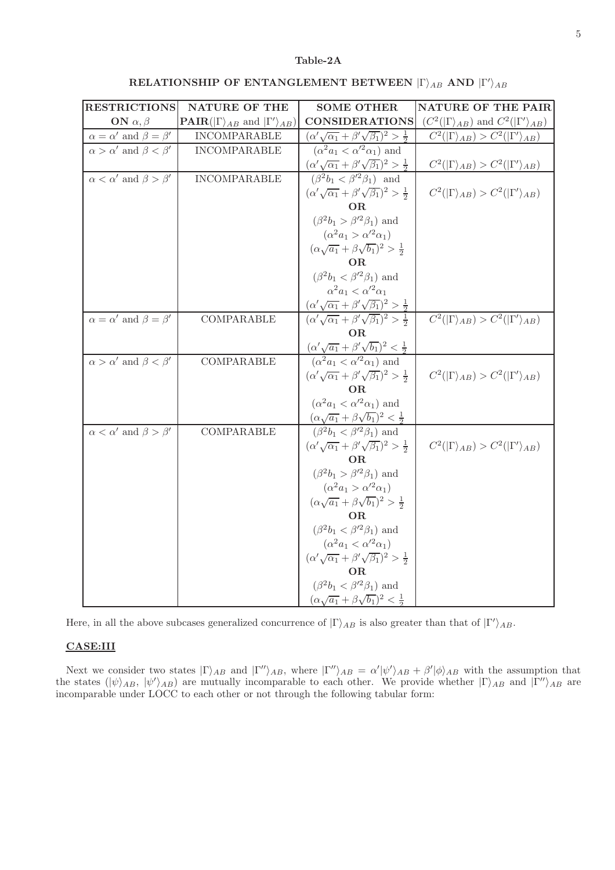## Table-2A

| <b>RESTRICTIONS</b>                     | NATURE OF THE                                                    | <b>SOME OTHER</b>                                                                                                                         | NATURE OF THE PAIR                                          |
|-----------------------------------------|------------------------------------------------------------------|-------------------------------------------------------------------------------------------------------------------------------------------|-------------------------------------------------------------|
| ON $\alpha, \beta$                      | <b>PAIR</b> ( $ \Gamma\rangle_{AB}$ and $ \Gamma'\rangle_{AB}$ ) | <b>CONSIDERATIONS</b>                                                                                                                     | $(C^2( \Gamma\rangle_{AB})$ and $C^2( \Gamma'\rangle_{AB})$ |
| $\alpha=\alpha'$ and $\beta=\beta'$     | <b>INCOMPARABLE</b>                                              | $(\alpha'\sqrt{\alpha_1}+\beta'\sqrt{\beta_1})^2>\frac{1}{2}$                                                                             | $C^2( \Gamma\rangle_{AB}) > C^2( \Gamma'\rangle_{AB})$      |
| $\alpha > \alpha'$ and $\beta < \beta'$ | <b>INCOMPARABLE</b>                                              | $(\alpha^2 a_1 < \alpha'^2 \alpha_1)$ and                                                                                                 |                                                             |
|                                         |                                                                  | $(\alpha'\sqrt{\alpha_1} + \beta'\sqrt{\beta_1})^2 > \frac{1}{2}$                                                                         | $C^2( \Gamma\rangle_{AB}) > C^2( \Gamma'\rangle_{AB})$      |
| $\alpha < \alpha'$ and $\beta > \beta'$ | <b>INCOMPARABLE</b>                                              | $(\beta^2 b_1 < \beta'^2 \beta_1)$ and                                                                                                    |                                                             |
|                                         |                                                                  | $(\alpha'\sqrt{\alpha_1}+\beta'\sqrt{\beta_1})^2>\frac{1}{2}$                                                                             | $C^2( \Gamma\rangle_{AB}) > C^2( \Gamma'\rangle_{AB})$      |
|                                         |                                                                  | OR                                                                                                                                        |                                                             |
|                                         |                                                                  | $(\beta^2 b_1 > \beta'^2 \beta_1)$ and                                                                                                    |                                                             |
|                                         |                                                                  | $(\alpha^2 a_1 > \alpha'^2 \alpha_1)$                                                                                                     |                                                             |
|                                         |                                                                  | $(\alpha\sqrt{a_1}+\beta\sqrt{b_1})^2>\frac{1}{2}$                                                                                        |                                                             |
|                                         |                                                                  | OR.                                                                                                                                       |                                                             |
|                                         |                                                                  | $(\beta^2 b_1 < \beta'^2 \beta_1)$ and                                                                                                    |                                                             |
|                                         |                                                                  | $\alpha^2 a_1 < \alpha'^2 \alpha_1$                                                                                                       |                                                             |
|                                         |                                                                  | $\frac{(\alpha'\sqrt{\alpha_1} + \beta'\sqrt{\beta_1})^2 > \frac{1}{2}}{(\alpha'\sqrt{\alpha_1} + \beta'\sqrt{\beta_1})^2 > \frac{1}{2}}$ |                                                             |
| $\alpha = \alpha'$ and $\beta = \beta'$ | COMPARABLE                                                       | O <sub>R</sub>                                                                                                                            | $C^2( \Gamma\rangle_{AB}) > C^2( \Gamma'\rangle_{AB})$      |
|                                         |                                                                  |                                                                                                                                           |                                                             |
| $\alpha > \alpha'$ and $\beta < \beta'$ | COMPARABLE                                                       | $\frac{(\alpha'\sqrt{a_1} + \beta'\sqrt{b_1})^2 < \frac{1}{2}}{(\alpha^2 a_1 < \alpha'^2 \alpha_1)$ and                                   |                                                             |
|                                         |                                                                  | $(\alpha'\sqrt{\alpha_1}+\beta'\sqrt{\beta_1})^2>\frac{1}{2}$                                                                             | $C^2( \Gamma\rangle_{AB}) > C^2( \Gamma'\rangle_{AB})$      |
|                                         |                                                                  | OR.                                                                                                                                       |                                                             |
|                                         |                                                                  | $(\alpha^2 a_1 < \alpha'^2 \alpha_1)$ and                                                                                                 |                                                             |
|                                         |                                                                  | $(\alpha\sqrt{a_1}+\beta\sqrt{b_1})^2<\frac{1}{2}$                                                                                        |                                                             |
| $\alpha < \alpha'$ and $\beta > \beta'$ | COMPARABLE                                                       | $\overline{(\beta^2b_1} < \beta'^2\beta_1)$ and                                                                                           |                                                             |
|                                         |                                                                  | $(\alpha'\sqrt{\alpha_1}+\beta'\sqrt{\beta_1})^2>\frac{1}{2}$                                                                             | $C^2( \Gamma\rangle_{AB}) > C^2( \Gamma'\rangle_{AB})$      |
|                                         |                                                                  | OR.                                                                                                                                       |                                                             |
|                                         |                                                                  | $(\beta^2 b_1 > \beta'^2 \beta_1)$ and                                                                                                    |                                                             |
|                                         |                                                                  | $(\alpha^2 a_1 > \alpha'^2 \alpha_1)$                                                                                                     |                                                             |
|                                         |                                                                  | $(\alpha\sqrt{a_1}+\beta\sqrt{b_1})^2>\frac{1}{2}$                                                                                        |                                                             |
|                                         |                                                                  | OR.                                                                                                                                       |                                                             |
|                                         |                                                                  | $(\beta^2 b_1 < \beta'^2 \beta_1)$ and                                                                                                    |                                                             |
|                                         |                                                                  | $(\alpha^2 a_1 < \alpha'^2 \alpha_1)$                                                                                                     |                                                             |
|                                         |                                                                  | $(\alpha'\sqrt{\alpha_1}+\beta'\sqrt{\beta_1})^2>\frac{1}{2}$                                                                             |                                                             |
|                                         |                                                                  | <b>OR</b>                                                                                                                                 |                                                             |
|                                         |                                                                  | $(\beta^2 b_1 < \beta'^2 \beta_1)$ and                                                                                                    |                                                             |
|                                         |                                                                  | $(\alpha\sqrt{a_1}+\beta\sqrt{b_1})^2<\frac{1}{2}$                                                                                        |                                                             |

Here, in all the above subcases generalized concurrence of  $|\Gamma\rangle_{AB}$  is also greater than that of  $|\Gamma'\rangle_{AB}$ .

## CASE:III

Next we consider two states  $|\Gamma\rangle_{AB}$  and  $|\Gamma''\rangle_{AB}$ , where  $|\Gamma''\rangle_{AB} = \alpha'|\psi'\rangle_{AB} + \beta'|\phi\rangle_{AB}$  with the assumption that the states  $(\ket{\psi}_{AB}, \ket{\psi'}_{AB})$  are mutually incomparable to each other. We provide whether  $|\Gamma\rangle_{AB}$  and  $|\Gamma''\rangle_{AB}$  are incomparable under LOCC to each other or not through the following tabular form: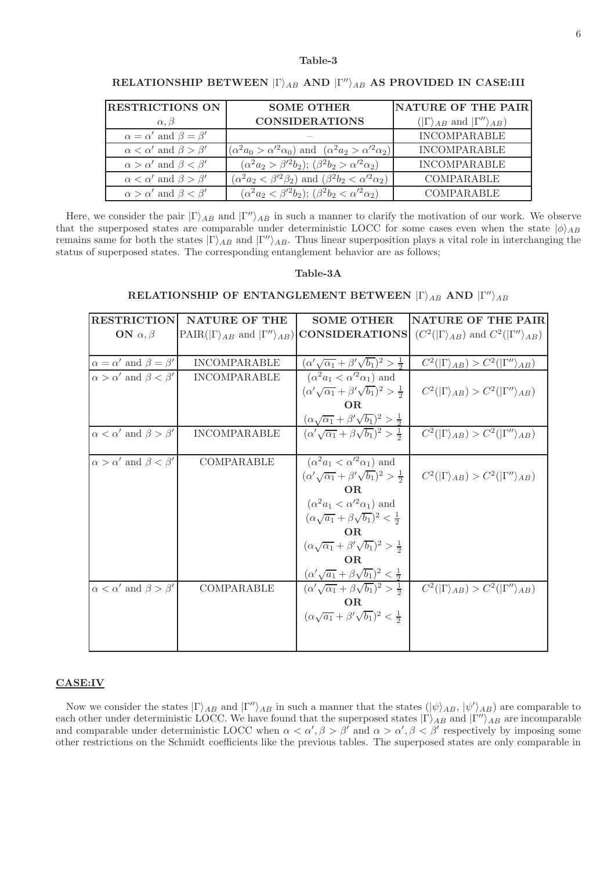### Table-3

| <b>RESTRICTIONS ON</b>                  | <b>SOME OTHER</b>                                                                                                               | NATURE OF THE PAIR                                  |
|-----------------------------------------|---------------------------------------------------------------------------------------------------------------------------------|-----------------------------------------------------|
| $\alpha, \beta$                         | <b>CONSIDERATIONS</b>                                                                                                           | $( \Gamma\rangle_{AB}$ and $ \Gamma''\rangle_{AB})$ |
| $\alpha = \alpha'$ and $\beta = \beta'$ |                                                                                                                                 | <b>INCOMPARABLE</b>                                 |
| $\alpha < \alpha'$ and $\beta > \beta'$ | $\left  \left( \alpha^2 a_0 > \alpha'^2 \alpha_0 \right) \text{ and } \left( \alpha^2 a_2 > \alpha'^2 \alpha_2 \right) \right $ | <b>INCOMPARABLE</b>                                 |
| $\alpha > \alpha'$ and $\beta < \beta'$ | $(\alpha^2 a_2 > \beta'^2 b_2); (\beta^2 b_2 > \alpha'^2 \alpha_2)$                                                             | <b>INCOMPARABLE</b>                                 |
| $\alpha < \alpha'$ and $\beta > \beta'$ | $(\alpha^2 a_2 < \beta'^2 \beta_2)$ and $(\beta^2 b_2 < \alpha'^2 \alpha_2)$                                                    | COMPARABLE                                          |
| $\alpha > \alpha'$ and $\beta < \beta'$ | $(\alpha^2 a_2 < \beta^2 b_2); (\beta^2 b_2 < \alpha^2 a_2)$                                                                    | <b>COMPARABLE</b>                                   |

## RELATIONSHIP BETWEEN  $|\Gamma\rangle_{AB}$  and  $|\Gamma''\rangle_{AB}$  as provided in case:III

Here, we consider the pair  $|\Gamma\rangle_{AB}$  and  $|\Gamma'\rangle_{AB}$  in such a manner to clarify the motivation of our work. We observe that the superposed states are comparable under deterministic LOCC for some cases even when the state  $|\phi\rangle_{AB}$ remains same for both the states  $|\Gamma\rangle_{AB}$  and  $|\Gamma''\rangle_{AB}$ . Thus linear superposition plays a vital role in interchanging the status of superposed states. The corresponding entanglement behavior are as follows;

#### Table-3A

## RELATIONSHIP OF ENTANGLEMENT BETWEEN  $|\Gamma\rangle_{AB}$  and  $|\Gamma''\rangle_{AB}$

| <b>RESTRICTION</b>                      | <b>NATURE OF THE</b> | <b>SOME OTHER</b>                                              | <b>NATURE OF THE PAIR</b>                                                                                                                                                      |
|-----------------------------------------|----------------------|----------------------------------------------------------------|--------------------------------------------------------------------------------------------------------------------------------------------------------------------------------|
| ON $\alpha, \beta$                      |                      |                                                                | $\text{PAR}(\vert\Gamma\rangle_{AB} \text{ and } \vert\Gamma''\rangle_{AB})$ CONSIDERATIONS $\text{[C}^2(\vert\Gamma\rangle_{AB}) \text{ and } C^2(\vert\Gamma''\rangle_{AB})$ |
|                                         |                      |                                                                |                                                                                                                                                                                |
| $\alpha = \alpha'$ and $\beta = \beta'$ | <b>INCOMPARABLE</b>  | $(\alpha'\sqrt{\alpha_1}+\beta'\sqrt{b_1})^2>\frac{1}{2}$      | $C^2( \Gamma\rangle_{AB}) > C^2( \Gamma''\rangle_{AB})$                                                                                                                        |
| $\alpha > \alpha'$ and $\beta < \beta'$ | <b>INCOMPARABLE</b>  | $(\alpha^2 a_1 < \alpha'^2 \alpha_1)$ and                      |                                                                                                                                                                                |
|                                         |                      | $(\alpha'\sqrt{\alpha_1}+\beta'\sqrt{b_1})^2>\frac{1}{2}$      | $C^2( \Gamma\rangle_{AB}) > C^2( \Gamma''\rangle_{AB})$                                                                                                                        |
|                                         |                      | OR.                                                            |                                                                                                                                                                                |
|                                         |                      | $(\alpha\sqrt{\alpha_1}+\beta'\sqrt{b_1})^2>\frac{1}{2}$       |                                                                                                                                                                                |
| $\alpha < \alpha'$ and $\beta > \beta'$ | <b>INCOMPARABLE</b>  | $(\alpha'\sqrt{\alpha_1}+\beta\sqrt{b_1})^2>\frac{1}{2}$       | $C^2( \Gamma\rangle_{AB}) > C^2( \Gamma''\rangle_{AB})$                                                                                                                        |
|                                         |                      |                                                                |                                                                                                                                                                                |
| $\alpha > \alpha'$ and $\beta < \beta'$ | COMPARABLE           | $(\alpha^2 a_1 < \alpha'^2 \alpha_1)$ and                      |                                                                                                                                                                                |
|                                         |                      | $(\alpha'\sqrt{\alpha_1}+\beta'\sqrt{b_1})^2>\frac{1}{2}$      | $C^2( \Gamma\rangle_{AB}) > C^2( \Gamma''\rangle_{AB})$                                                                                                                        |
|                                         |                      | OR.                                                            |                                                                                                                                                                                |
|                                         |                      | $(\alpha^2 a_1 < \alpha'^2 \alpha_1)$ and                      |                                                                                                                                                                                |
|                                         |                      | $(\alpha\sqrt{a_1}+\beta\sqrt{b_1})^2<\frac{1}{2}$             |                                                                                                                                                                                |
|                                         |                      | OR.                                                            |                                                                                                                                                                                |
|                                         |                      | $(\alpha \sqrt{\alpha_1} + \beta' \sqrt{b_1})^2 > \frac{1}{2}$ |                                                                                                                                                                                |
|                                         |                      | OR.                                                            |                                                                                                                                                                                |
|                                         |                      | $(\alpha'\sqrt{a_1}+\beta\sqrt{b_1})^2<\frac{1}{2}$            |                                                                                                                                                                                |
| $\alpha < \alpha'$ and $\beta > \beta'$ | COMPARABLE           | $(\alpha'\sqrt{\alpha_1}+\beta\sqrt{b_1})^2>\frac{1}{2}$       | $C^2( \Gamma\rangle_{AB}) > C^2( \Gamma''\rangle_{AB})$                                                                                                                        |
|                                         |                      | OR.                                                            |                                                                                                                                                                                |
|                                         |                      | $(\alpha\sqrt{a_1}+\beta'\sqrt{b_1})^2<\frac{1}{2}$            |                                                                                                                                                                                |
|                                         |                      |                                                                |                                                                                                                                                                                |
|                                         |                      |                                                                |                                                                                                                                                                                |

## CASE:IV

Now we consider the states  $|\Gamma\rangle_{AB}$  and  $|\Gamma''\rangle_{AB}$  in such a manner that the states  $(|\psi\rangle_{AB}, |\psi'\rangle_{AB})$  are comparable to each other under deterministic LOCC. We have found that the superposed states  $|\Gamma\rangle_{AB}$  and  $|\Gamma''\rangle_{AB}$  are incomparable and comparable under deterministic LOCC when  $\alpha < \alpha', \beta > \beta'$  and  $\alpha > \alpha', \beta < \beta'$  respectively by imposing some other restrictions on the Schmidt coefficients like the previous tables. The superposed states are only comparable in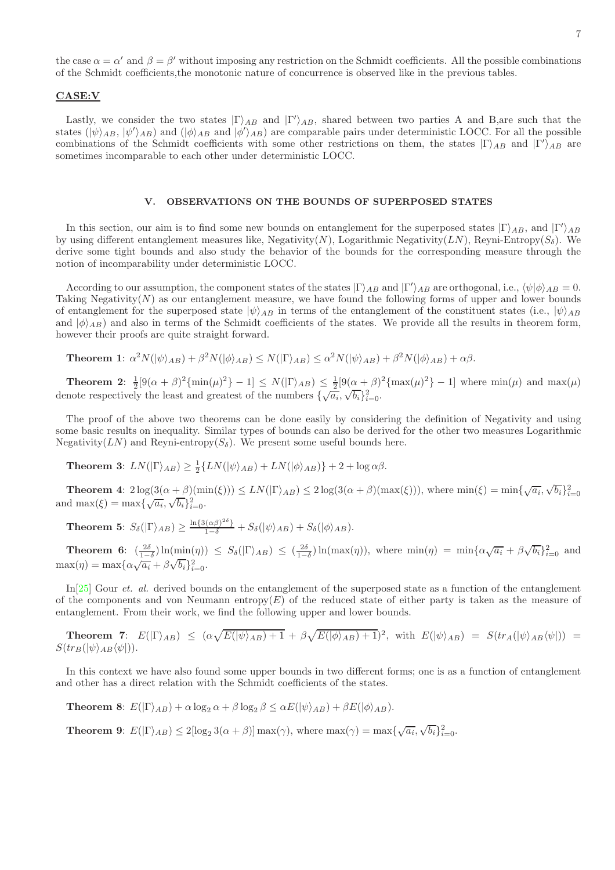the case  $\alpha = \alpha'$  and  $\beta = \beta'$  without imposing any restriction on the Schmidt coefficients. All the possible combinations of the Schmidt coefficients,the monotonic nature of concurrence is observed like in the previous tables.

#### CASE:V

Lastly, we consider the two states  $|\Gamma\rangle_{AB}$  and  $|\Gamma'\rangle_{AB}$ , shared between two parties A and B,are such that the states  $(|\psi\rangle_{AB}, |\psi'\rangle_{AB})$  and  $(|\phi\rangle_{AB}$  and  $|\phi'\rangle_{AB})$  are comparable pairs under deterministic LOCC. For all the possible combinations of the Schmidt coefficients with some other restrictions on them, the states  $|\Gamma\rangle_{AB}$  and  $|\Gamma'\rangle_{AB}$  are sometimes incomparable to each other under deterministic LOCC.

#### V. OBSERVATIONS ON THE BOUNDS OF SUPERPOSED STATES

In this section, our aim is to find some new bounds on entanglement for the superposed states  $|\Gamma\rangle_{AB}$ , and  $|\Gamma'\rangle_{AB}$ by using different entanglement measures like, Negativity $(N)$ , Logarithmic Negativity $(LN)$ , Reyni-Entropy $(S_{\delta})$ . We derive some tight bounds and also study the behavior of the bounds for the corresponding measure through the notion of incomparability under deterministic LOCC.

According to our assumption, the component states of the states  $|\Gamma\rangle_{AB}$  and  $|\Gamma'\rangle_{AB}$  are orthogonal, i.e.,  $\langle \psi | \phi \rangle_{AB} = 0$ . Taking Negativity $(N)$  as our entanglement measure, we have found the following forms of upper and lower bounds of entanglement for the superposed state  $|\psi\rangle_{AB}$  in terms of the entanglement of the constituent states (i.e.,  $|\psi\rangle_{AB}$ and  $|\phi\rangle_{AB}$ ) and also in terms of the Schmidt coefficients of the states. We provide all the results in theorem form, however their proofs are quite straight forward.

**Theorem 1:** 
$$
\alpha^2 N(|\psi\rangle_{AB}) + \beta^2 N(|\phi\rangle_{AB}) \le N(|\Gamma\rangle_{AB}) \le \alpha^2 N(|\psi\rangle_{AB}) + \beta^2 N(|\phi\rangle_{AB}) + \alpha\beta.
$$

**Theorem 2:**  $\frac{1}{2}[9(\alpha+\beta)^2\{\min(\mu)^2\}-1] \le N(|\Gamma\rangle_{AB}) \le \frac{1}{2}[9(\alpha+\beta)^2\{\max(\mu)^2\}-1]$  where  $\min(\mu)$  and  $\max(\mu)$ denote respectively the least and greatest of the numbers  $\{\sqrt{a_i}, \sqrt{b_i}\}_{i=0}^2$ .

The proof of the above two theorems can be done easily by considering the definition of Negativity and using some basic results on inequality. Similar types of bounds can also be derived for the other two measures Logarithmic Negativity( $LN$ ) and Reyni-entropy( $S_{\delta}$ ). We present some useful bounds here.

**Theorem 3:**  $LN(|\Gamma\rangle_{AB}) \geq \frac{1}{2} \{LN(|\psi\rangle_{AB}) + LN(|\phi\rangle_{AB})\} + 2 + \log \alpha \beta.$ 

**Theorem 4:**  $2\log(3(\alpha+\beta)(\min(\xi))) \leq LN(|\Gamma\rangle_{AB}) \leq 2\log(3(\alpha+\beta)(\max(\xi)))$ , where  $\min(\xi) = \min{\sqrt{a_i}, \sqrt{b_i}}_{i=0}^2$ and max $(\xi) = \max{\sqrt{a_i}, \sqrt{b_i}\}_{i=0}^{\infty}$ .

**Theorem 5:**  $S_{\delta}(|\Gamma\rangle_{AB}) \geq \frac{\ln\{3(\alpha\beta)^{2\delta}\}}{1-\delta} + S_{\delta}(|\psi\rangle_{AB}) + S_{\delta}(|\phi\rangle_{AB}).$ 

**Theorem 6:**  $\left(\frac{2\delta}{1-\delta}\right) \ln(\min(\eta)) \leq S_{\delta}(|\Gamma\rangle_{AB}) \leq \left(\frac{2\delta}{1-\delta}\right) \ln(\max(\eta)),$  where  $\min(\eta) = \min\{\alpha\sqrt{a_i} + \beta\sqrt{b_i}\}_{i=0}^2$  and  $\max(\eta) = \max\{\alpha\sqrt{a_i} + \beta\sqrt{b_i}\}_{i=0}^{\infty}$ .

In [\[25\]](#page-8-22) Gour *et. al.* derived bounds on the entanglement of the superposed state as a function of the entanglement of the components and von Neumann entropy(E) of the reduced state of either party is taken as the measure of entanglement. From their work, we find the following upper and lower bounds.

**Theorem 7:**  $E(|\Gamma\rangle_{AB}) \leq (\alpha \sqrt{E(|\psi\rangle_{AB})+1} + \beta \sqrt{E(|\phi\rangle_{AB})+1})^2$ , with  $E(|\psi\rangle_{AB}) = S(tr_A(|\psi\rangle_{AB}\langle\psi|)) =$  $S(tr_B(|\psi\rangle_{AB}\langle\psi|)).$ 

In this context we have also found some upper bounds in two different forms; one is as a function of entanglement and other has a direct relation with the Schmidt coefficients of the states.

**Theorem 8:**  $E(|\Gamma\rangle_{AB}) + \alpha \log_2 \alpha + \beta \log_2 \beta \leq \alpha E(|\psi\rangle_{AB}) + \beta E(|\phi\rangle_{AB}).$ 

**Theorem 9:**  $E(|\Gamma\rangle_{AB}) \leq 2[\log_2 3(\alpha + \beta)] \max(\gamma)$ , where  $\max(\gamma) = \max{\sqrt{a_i}, \sqrt{b_i}}_{i=0}^2$ .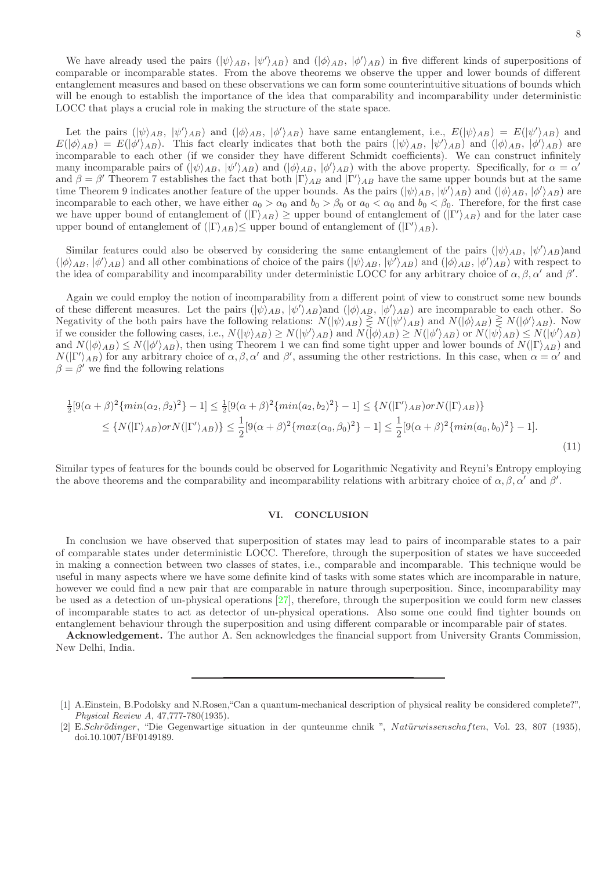We have already used the pairs  $(|\psi\rangle_{AB}, |\psi'\rangle_{AB})$  and  $(|\phi\rangle_{AB}, |\phi'\rangle_{AB})$  in five different kinds of superpositions of comparable or incomparable states. From the above theorems we observe the upper and lower bounds of different entanglement measures and based on these observations we can form some counterintuitive situations of bounds which will be enough to establish the importance of the idea that comparability and incomparability under deterministic LOCC that plays a crucial role in making the structure of the state space.

Let the pairs  $(|\psi\rangle_{AB}, |\psi'\rangle_{AB})$  and  $(|\phi\rangle_{AB}, |\phi'\rangle_{AB})$  have same entanglement, i.e.,  $E(|\psi\rangle_{AB}) = E(|\psi'\rangle_{AB})$  and  $E(|\phi\rangle_{AB}) = E(|\phi'\rangle_{AB})$ . This fact clearly indicates that both the pairs  $(|\psi\rangle_{AB}, |\psi'\rangle_{AB})$  and  $(|\phi\rangle_{AB}, |\phi'\rangle_{AB})$  are incomparable to each other (if we consider they have different Schmidt coefficients). We can construct infinitely many incomparable pairs of  $(|\psi\rangle_{AB}, |\psi'\rangle_{AB})$  and  $(|\phi\rangle_{AB}, |\phi'\rangle_{AB})$  with the above property. Specifically, for  $\alpha = \alpha'$ and  $\beta = \beta'$  Theorem 7 establishes the fact that both  $|\Gamma\rangle_{AB}$  and  $|\Gamma'\rangle_{AB}$  have the same upper bounds but at the same time Theorem 9 indicates another feature of the upper bounds. As the pairs  $(|\psi\rangle_{AB}, |\psi'\rangle_{AB})$  and  $(|\phi\rangle_{AB}, |\phi'\rangle_{AB})$  are incomparable to each other, we have either  $a_0 > \alpha_0$  and  $b_0 > \beta_0$  or  $a_0 < \alpha_0$  and  $b_0 < \beta_0$ . Therefore, for the first case we have upper bound of entanglement of  $(|\Gamma\rangle_{AB}) \geq$  upper bound of entanglement of  $(|\Gamma\rangle_{AB})$  and for the later case upper bound of entanglement of  $(|\Gamma\rangle_{AB}) \leq$  upper bound of entanglement of  $(|\Gamma'\rangle_{AB})$ .

Similar features could also be observed by considering the same entanglement of the pairs  $(|\psi\rangle_{AB}, |\psi'\rangle_{AB})$ and  $(|\phi\rangle_{AB}, |\phi'\rangle_{AB})$  and all other combinations of choice of the pairs  $(|\psi\rangle_{AB}, |\psi'\rangle_{AB})$  and  $(|\phi\rangle_{AB}, |\phi'\rangle_{AB})$  with respect to the idea of comparability and incomparability under deterministic LOCC for any arbitrary choice of  $\alpha, \beta, \alpha'$  and  $\beta'$ .

Again we could employ the notion of incomparability from a different point of view to construct some new bounds of these different measures. Let the pairs  $(|\psi\rangle_{AB}, |\psi'\rangle_{AB})$  and  $(|\phi\rangle_{AB}, |\phi'\rangle_{AB})$  are incomparable to each other. So Negativity of the both pairs have the following relations:  $N(|\psi\rangle_{AB}) \ge N(|\psi'\rangle_{AB})$  and  $N(|\phi\rangle_{AB}) \ge N(|\phi'\rangle_{AB})$ . Now if we consider the following cases, i.e.,  $N(|\psi\rangle_{AB}) \ge N(|\psi'\rangle_{AB})$  and  $N(|\phi\rangle_{AB}) \ge N(|\phi'\rangle_{AB})$  or  $N(|\psi\rangle_{AB}) \le N(|\psi'\rangle_{AB})$ and  $N(|\phi\rangle_{AB}) \le N(|\phi'\rangle_{AB})$ , then using Theorem 1 we can find some tight upper and lower bounds of  $N(|\Gamma\rangle_{AB})$  and  $N(|\Gamma'\rangle_{AB})$  for any arbitrary choice of  $\alpha, \beta, \alpha'$  and  $\beta'$ , assuming the other restrictions. In this case, when  $\alpha = \alpha'$  and  $\beta = \beta'$  we find the following relations

$$
\frac{1}{2}[9(\alpha+\beta)^2\{min(\alpha_2,\beta_2)^2\}-1] \le \frac{1}{2}[9(\alpha+\beta)^2\{min(a_2,b_2)^2\}-1] \le \{N(|\Gamma'\rangle_{AB})\} \le \{N(|\Gamma\rangle_{AB})\} \le \{N(|\Gamma\rangle_{AB})\} \le \frac{1}{2}[9(\alpha+\beta)^2\{max(\alpha_0,\beta_0)^2\}-1] \le \frac{1}{2}[9(\alpha+\beta)^2\{min(a_0,b_0)^2\}-1].
$$
\n(11)

Similar types of features for the bounds could be observed for Logarithmic Negativity and Reyni's Entropy employing the above theorems and the comparability and incomparability relations with arbitrary choice of  $\alpha, \beta, \alpha'$  and  $\beta'$ .

#### VI. CONCLUSION

In conclusion we have observed that superposition of states may lead to pairs of incomparable states to a pair of comparable states under deterministic LOCC. Therefore, through the superposition of states we have succeeded in making a connection between two classes of states, i.e., comparable and incomparable. This technique would be useful in many aspects where we have some definite kind of tasks with some states which are incomparable in nature, however we could find a new pair that are comparable in nature through superposition. Since, incomparability may be used as a detection of un-physical operations [\[27](#page-8-23)], therefore, through the superposition we could form new classes of incomparable states to act as detector of un-physical operations. Also some one could find tighter bounds on entanglement behaviour through the superposition and using different comparable or incomparable pair of states.

Acknowledgement. The author A. Sen acknowledges the financial support from University Grants Commission, New Delhi, India.

<span id="page-7-0"></span><sup>[1]</sup> A.Einstein, B.Podolsky and N.Rosen,"Can a quantum-mechanical description of physical reality be considered complete?", *Physical Review A*, 47,777-780(1935).

<span id="page-7-1"></span><sup>[2]</sup> E.Schrödinger, "Die Gegenwartige situation in der qunteunme chnik ", Natürwissenschaften, Vol. 23, 807 (1935), doi.10.1007/BF0149189.